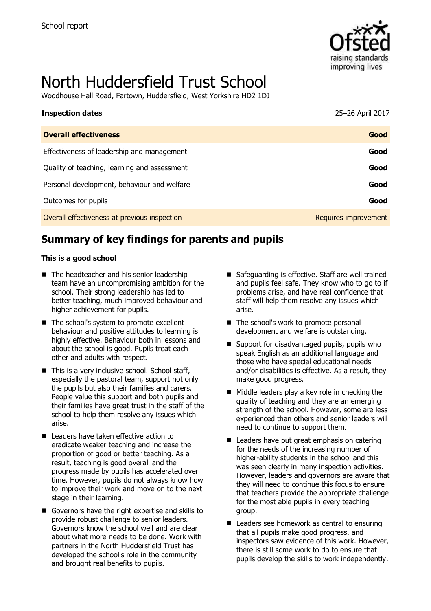

# North Huddersfield Trust School

Woodhouse Hall Road, Fartown, Huddersfield, West Yorkshire HD2 1DJ

| <b>Inspection dates</b>                      | 25-26 April 2017     |
|----------------------------------------------|----------------------|
| <b>Overall effectiveness</b>                 | Good                 |
| Effectiveness of leadership and management   | Good                 |
| Quality of teaching, learning and assessment | Good                 |
| Personal development, behaviour and welfare  | Good                 |
| Outcomes for pupils                          | Good                 |
| Overall effectiveness at previous inspection | Requires improvement |

# **Summary of key findings for parents and pupils**

#### **This is a good school**

- The headteacher and his senior leadership team have an uncompromising ambition for the school. Their strong leadership has led to better teaching, much improved behaviour and higher achievement for pupils.
- The school's system to promote excellent behaviour and positive attitudes to learning is highly effective. Behaviour both in lessons and about the school is good. Pupils treat each other and adults with respect.
- $\blacksquare$  This is a very inclusive school. School staff, especially the pastoral team, support not only the pupils but also their families and carers. People value this support and both pupils and their families have great trust in the staff of the school to help them resolve any issues which arise.
- Leaders have taken effective action to eradicate weaker teaching and increase the proportion of good or better teaching. As a result, teaching is good overall and the progress made by pupils has accelerated over time. However, pupils do not always know how to improve their work and move on to the next stage in their learning.
- Governors have the right expertise and skills to provide robust challenge to senior leaders. Governors know the school well and are clear about what more needs to be done. Work with partners in the North Huddersfield Trust has developed the school's role in the community and brought real benefits to pupils.
- Safeguarding is effective. Staff are well trained and pupils feel safe. They know who to go to if problems arise, and have real confidence that staff will help them resolve any issues which arise.
- The school's work to promote personal development and welfare is outstanding.
- Support for disadvantaged pupils, pupils who speak English as an additional language and those who have special educational needs and/or disabilities is effective. As a result, they make good progress.
- $\blacksquare$  Middle leaders play a key role in checking the quality of teaching and they are an emerging strength of the school. However, some are less experienced than others and senior leaders will need to continue to support them.
- Leaders have put great emphasis on catering for the needs of the increasing number of higher-ability students in the school and this was seen clearly in many inspection activities. However, leaders and governors are aware that they will need to continue this focus to ensure that teachers provide the appropriate challenge for the most able pupils in every teaching group.
- Leaders see homework as central to ensuring that all pupils make good progress, and inspectors saw evidence of this work. However, there is still some work to do to ensure that pupils develop the skills to work independently.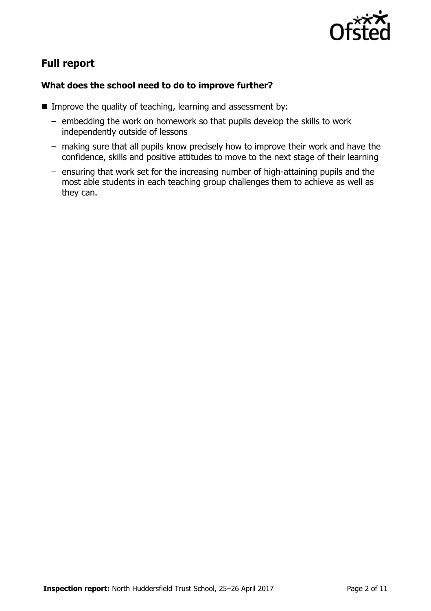

# **Full report**

#### **What does the school need to do to improve further?**

- Improve the quality of teaching, learning and assessment by:
	- embedding the work on homework so that pupils develop the skills to work independently outside of lessons
	- making sure that all pupils know precisely how to improve their work and have the confidence, skills and positive attitudes to move to the next stage of their learning
	- ensuring that work set for the increasing number of high-attaining pupils and the most able students in each teaching group challenges them to achieve as well as they can.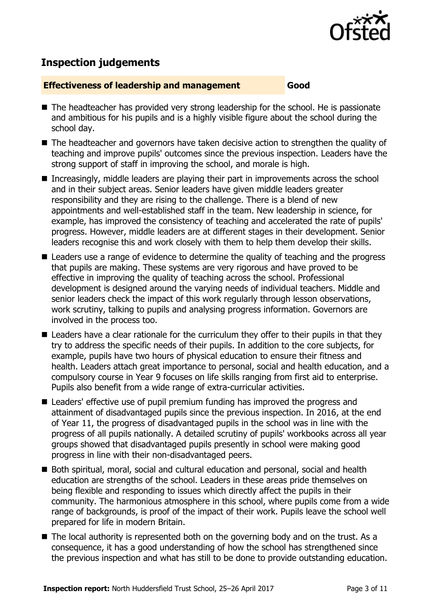

# **Inspection judgements**

#### **Effectiveness of leadership and management Good**

- The headteacher has provided very strong leadership for the school. He is passionate and ambitious for his pupils and is a highly visible figure about the school during the school day.
- The headteacher and governors have taken decisive action to strengthen the quality of teaching and improve pupils' outcomes since the previous inspection. Leaders have the strong support of staff in improving the school, and morale is high.
- Increasingly, middle leaders are playing their part in improvements across the school and in their subject areas. Senior leaders have given middle leaders greater responsibility and they are rising to the challenge. There is a blend of new appointments and well-established staff in the team. New leadership in science, for example, has improved the consistency of teaching and accelerated the rate of pupils' progress. However, middle leaders are at different stages in their development. Senior leaders recognise this and work closely with them to help them develop their skills.
- Leaders use a range of evidence to determine the quality of teaching and the progress that pupils are making. These systems are very rigorous and have proved to be effective in improving the quality of teaching across the school. Professional development is designed around the varying needs of individual teachers. Middle and senior leaders check the impact of this work regularly through lesson observations, work scrutiny, talking to pupils and analysing progress information. Governors are involved in the process too.
- Leaders have a clear rationale for the curriculum they offer to their pupils in that they try to address the specific needs of their pupils. In addition to the core subjects, for example, pupils have two hours of physical education to ensure their fitness and health. Leaders attach great importance to personal, social and health education, and a compulsory course in Year 9 focuses on life skills ranging from first aid to enterprise. Pupils also benefit from a wide range of extra-curricular activities.
- Leaders' effective use of pupil premium funding has improved the progress and attainment of disadvantaged pupils since the previous inspection. In 2016, at the end of Year 11, the progress of disadvantaged pupils in the school was in line with the progress of all pupils nationally. A detailed scrutiny of pupils' workbooks across all year groups showed that disadvantaged pupils presently in school were making good progress in line with their non-disadvantaged peers.
- Both spiritual, moral, social and cultural education and personal, social and health education are strengths of the school. Leaders in these areas pride themselves on being flexible and responding to issues which directly affect the pupils in their community. The harmonious atmosphere in this school, where pupils come from a wide range of backgrounds, is proof of the impact of their work. Pupils leave the school well prepared for life in modern Britain.
- The local authority is represented both on the governing body and on the trust. As a consequence, it has a good understanding of how the school has strengthened since the previous inspection and what has still to be done to provide outstanding education.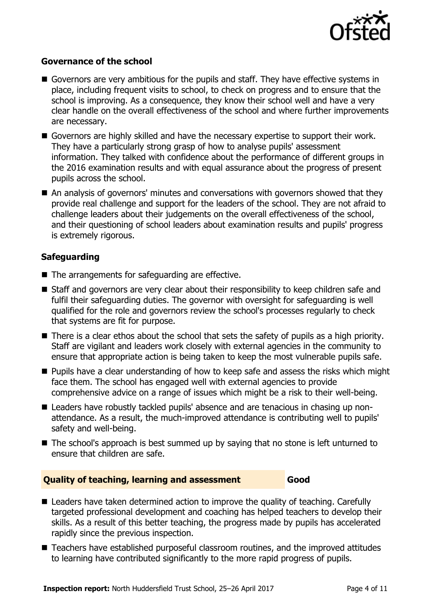

#### **Governance of the school**

- Governors are very ambitious for the pupils and staff. They have effective systems in place, including frequent visits to school, to check on progress and to ensure that the school is improving. As a consequence, they know their school well and have a very clear handle on the overall effectiveness of the school and where further improvements are necessary.
- Governors are highly skilled and have the necessary expertise to support their work. They have a particularly strong grasp of how to analyse pupils' assessment information. They talked with confidence about the performance of different groups in the 2016 examination results and with equal assurance about the progress of present pupils across the school.
- An analysis of governors' minutes and conversations with governors showed that they provide real challenge and support for the leaders of the school. They are not afraid to challenge leaders about their judgements on the overall effectiveness of the school, and their questioning of school leaders about examination results and pupils' progress is extremely rigorous.

### **Safeguarding**

- The arrangements for safeguarding are effective.
- Staff and governors are very clear about their responsibility to keep children safe and fulfil their safeguarding duties. The governor with oversight for safeguarding is well qualified for the role and governors review the school's processes regularly to check that systems are fit for purpose.
- $\blacksquare$  There is a clear ethos about the school that sets the safety of pupils as a high priority. Staff are vigilant and leaders work closely with external agencies in the community to ensure that appropriate action is being taken to keep the most vulnerable pupils safe.
- **Pupils have a clear understanding of how to keep safe and assess the risks which might** face them. The school has engaged well with external agencies to provide comprehensive advice on a range of issues which might be a risk to their well-being.
- Leaders have robustly tackled pupils' absence and are tenacious in chasing up nonattendance. As a result, the much-improved attendance is contributing well to pupils' safety and well-being.
- The school's approach is best summed up by saying that no stone is left unturned to ensure that children are safe.

#### **Quality of teaching, learning and assessment Good**

- Leaders have taken determined action to improve the quality of teaching. Carefully targeted professional development and coaching has helped teachers to develop their skills. As a result of this better teaching, the progress made by pupils has accelerated rapidly since the previous inspection.
- Teachers have established purposeful classroom routines, and the improved attitudes to learning have contributed significantly to the more rapid progress of pupils.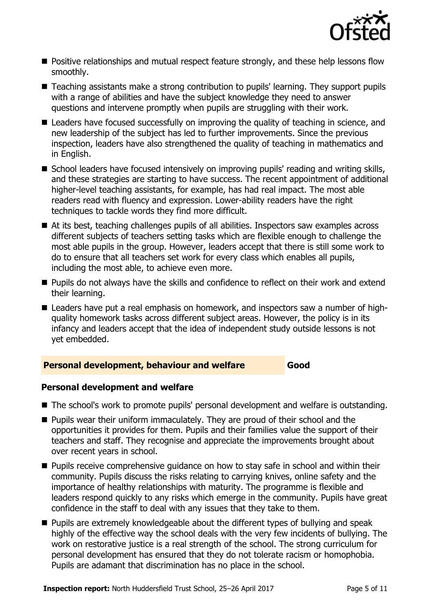

- **Positive relationships and mutual respect feature strongly, and these help lessons flow** smoothly.
- Teaching assistants make a strong contribution to pupils' learning. They support pupils with a range of abilities and have the subject knowledge they need to answer questions and intervene promptly when pupils are struggling with their work.
- Leaders have focused successfully on improving the quality of teaching in science, and new leadership of the subject has led to further improvements. Since the previous inspection, leaders have also strengthened the quality of teaching in mathematics and in English.
- School leaders have focused intensively on improving pupils' reading and writing skills, and these strategies are starting to have success. The recent appointment of additional higher-level teaching assistants, for example, has had real impact. The most able readers read with fluency and expression. Lower-ability readers have the right techniques to tackle words they find more difficult.
- At its best, teaching challenges pupils of all abilities. Inspectors saw examples across different subjects of teachers setting tasks which are flexible enough to challenge the most able pupils in the group. However, leaders accept that there is still some work to do to ensure that all teachers set work for every class which enables all pupils, including the most able, to achieve even more.
- **Pupils do not always have the skills and confidence to reflect on their work and extend** their learning.
- Leaders have put a real emphasis on homework, and inspectors saw a number of highquality homework tasks across different subject areas. However, the policy is in its infancy and leaders accept that the idea of independent study outside lessons is not yet embedded.

#### **Personal development, behaviour and welfare Good**

#### **Personal development and welfare**

- The school's work to promote pupils' personal development and welfare is outstanding.
- **Pupils wear their uniform immaculately. They are proud of their school and the** opportunities it provides for them. Pupils and their families value the support of their teachers and staff. They recognise and appreciate the improvements brought about over recent years in school.
- **Pupils receive comprehensive quidance on how to stay safe in school and within their** community. Pupils discuss the risks relating to carrying knives, online safety and the importance of healthy relationships with maturity. The programme is flexible and leaders respond quickly to any risks which emerge in the community. Pupils have great confidence in the staff to deal with any issues that they take to them.
- **Pupils are extremely knowledgeable about the different types of bullying and speak** highly of the effective way the school deals with the very few incidents of bullying. The work on restorative justice is a real strength of the school. The strong curriculum for personal development has ensured that they do not tolerate racism or homophobia. Pupils are adamant that discrimination has no place in the school.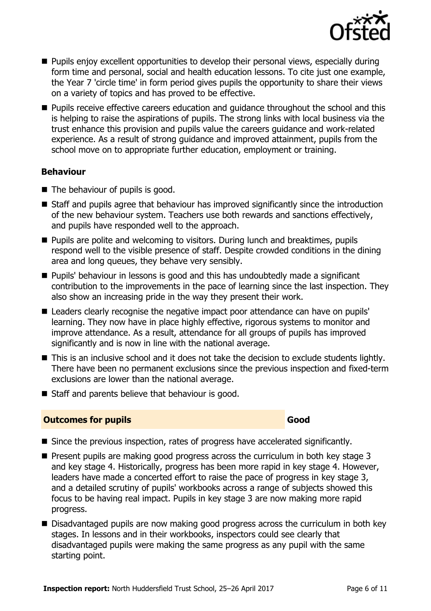

- **Pupils enjoy excellent opportunities to develop their personal views, especially during** form time and personal, social and health education lessons. To cite just one example, the Year 7 'circle time' in form period gives pupils the opportunity to share their views on a variety of topics and has proved to be effective.
- **Pupils receive effective careers education and quidance throughout the school and this** is helping to raise the aspirations of pupils. The strong links with local business via the trust enhance this provision and pupils value the careers guidance and work-related experience. As a result of strong guidance and improved attainment, pupils from the school move on to appropriate further education, employment or training.

#### **Behaviour**

- The behaviour of pupils is good.
- Staff and pupils agree that behaviour has improved significantly since the introduction of the new behaviour system. Teachers use both rewards and sanctions effectively, and pupils have responded well to the approach.
- **Pupils are polite and welcoming to visitors. During lunch and breaktimes, pupils** respond well to the visible presence of staff. Despite crowded conditions in the dining area and long queues, they behave very sensibly.
- Pupils' behaviour in lessons is good and this has undoubtedly made a significant contribution to the improvements in the pace of learning since the last inspection. They also show an increasing pride in the way they present their work.
- Leaders clearly recognise the negative impact poor attendance can have on pupils' learning. They now have in place highly effective, rigorous systems to monitor and improve attendance. As a result, attendance for all groups of pupils has improved significantly and is now in line with the national average.
- This is an inclusive school and it does not take the decision to exclude students lightly. There have been no permanent exclusions since the previous inspection and fixed-term exclusions are lower than the national average.
- Staff and parents believe that behaviour is good.

#### **Outcomes for pupils Good Good**

- Since the previous inspection, rates of progress have accelerated significantly.
- $\blacksquare$  Present pupils are making good progress across the curriculum in both key stage 3 and key stage 4. Historically, progress has been more rapid in key stage 4. However, leaders have made a concerted effort to raise the pace of progress in key stage 3, and a detailed scrutiny of pupils' workbooks across a range of subjects showed this focus to be having real impact. Pupils in key stage 3 are now making more rapid progress.
- Disadvantaged pupils are now making good progress across the curriculum in both key stages. In lessons and in their workbooks, inspectors could see clearly that disadvantaged pupils were making the same progress as any pupil with the same starting point.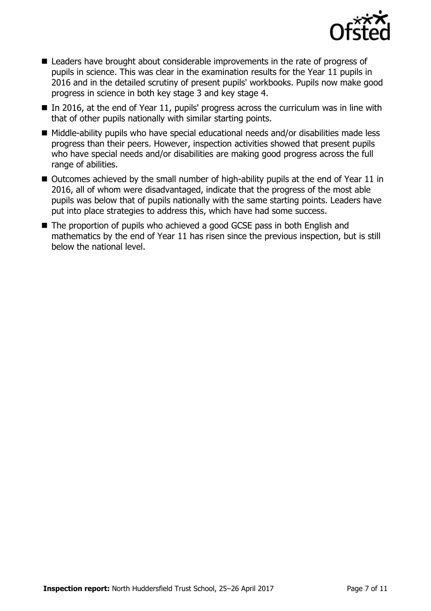

- Leaders have brought about considerable improvements in the rate of progress of pupils in science. This was clear in the examination results for the Year 11 pupils in 2016 and in the detailed scrutiny of present pupils' workbooks. Pupils now make good progress in science in both key stage 3 and key stage 4.
- $\blacksquare$  In 2016, at the end of Year 11, pupils' progress across the curriculum was in line with that of other pupils nationally with similar starting points.
- $\blacksquare$  Middle-ability pupils who have special educational needs and/or disabilities made less progress than their peers. However, inspection activities showed that present pupils who have special needs and/or disabilities are making good progress across the full range of abilities.
- $\blacksquare$  Outcomes achieved by the small number of high-ability pupils at the end of Year 11 in 2016, all of whom were disadvantaged, indicate that the progress of the most able pupils was below that of pupils nationally with the same starting points. Leaders have put into place strategies to address this, which have had some success.
- The proportion of pupils who achieved a good GCSE pass in both English and mathematics by the end of Year 11 has risen since the previous inspection, but is still below the national level.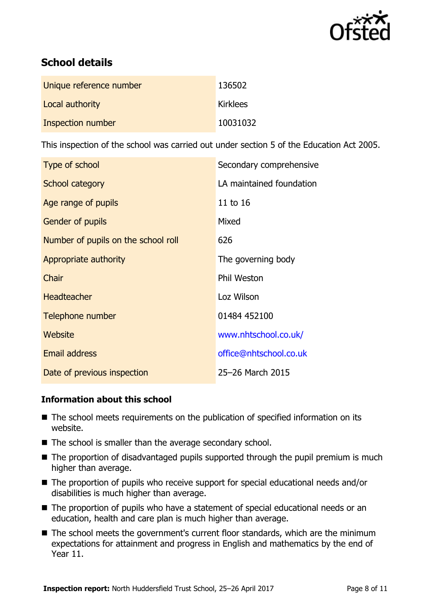

# **School details**

| Unique reference number | 136502          |
|-------------------------|-----------------|
| Local authority         | <b>Kirklees</b> |
| Inspection number       | 10031032        |

This inspection of the school was carried out under section 5 of the Education Act 2005.

| Type of school                      | Secondary comprehensive  |
|-------------------------------------|--------------------------|
| School category                     | LA maintained foundation |
| Age range of pupils                 | 11 to 16                 |
| Gender of pupils                    | Mixed                    |
| Number of pupils on the school roll | 626                      |
| Appropriate authority               | The governing body       |
| Chair                               | Phil Weston              |
| <b>Headteacher</b>                  | Loz Wilson               |
| Telephone number                    | 01484 452100             |
| Website                             | www.nhtschool.co.uk/     |
| <b>Email address</b>                | office@nhtschool.co.uk   |
| Date of previous inspection         | 25-26 March 2015         |

#### **Information about this school**

- The school meets requirements on the publication of specified information on its website.
- The school is smaller than the average secondary school.
- $\blacksquare$  The proportion of disadvantaged pupils supported through the pupil premium is much higher than average.
- The proportion of pupils who receive support for special educational needs and/or disabilities is much higher than average.
- The proportion of pupils who have a statement of special educational needs or an education, health and care plan is much higher than average.
- The school meets the government's current floor standards, which are the minimum expectations for attainment and progress in English and mathematics by the end of Year 11.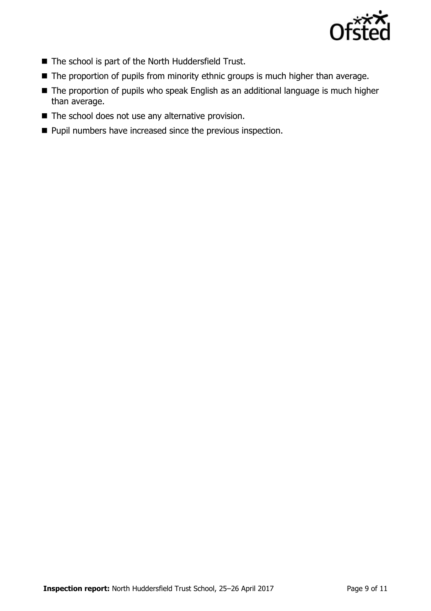

- The school is part of the North Huddersfield Trust.
- The proportion of pupils from minority ethnic groups is much higher than average.
- The proportion of pupils who speak English as an additional language is much higher than average.
- The school does not use any alternative provision.
- **Pupil numbers have increased since the previous inspection.**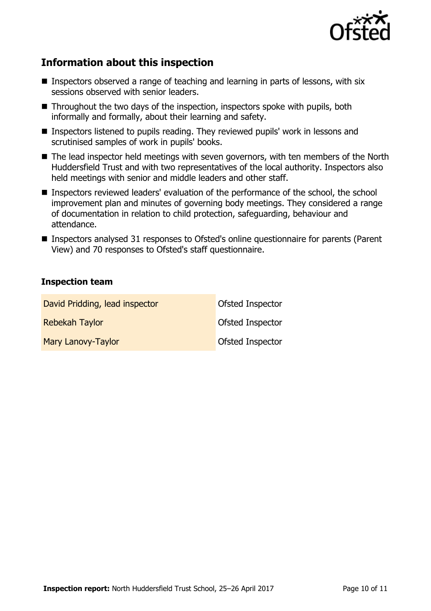

# **Information about this inspection**

- **Inspectors observed a range of teaching and learning in parts of lessons, with six** sessions observed with senior leaders.
- Throughout the two days of the inspection, inspectors spoke with pupils, both informally and formally, about their learning and safety.
- Inspectors listened to pupils reading. They reviewed pupils' work in lessons and scrutinised samples of work in pupils' books.
- The lead inspector held meetings with seven governors, with ten members of the North Huddersfield Trust and with two representatives of the local authority. Inspectors also held meetings with senior and middle leaders and other staff.
- **Inspectors reviewed leaders' evaluation of the performance of the school, the school** improvement plan and minutes of governing body meetings. They considered a range of documentation in relation to child protection, safeguarding, behaviour and attendance.
- Inspectors analysed 31 responses to Ofsted's online questionnaire for parents (Parent View) and 70 responses to Ofsted's staff questionnaire.

#### **Inspection team**

| David Pridding, lead inspector | Ofsted Inspector |
|--------------------------------|------------------|
| <b>Rebekah Taylor</b>          | Ofsted Inspector |
| Mary Lanovy-Taylor             | Ofsted Inspector |